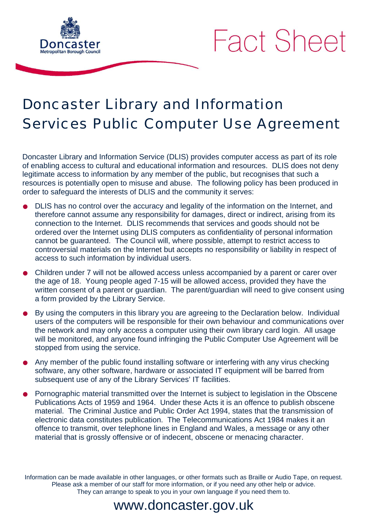



# Doncaster Library and Information Services Public Computer Use Agreement

Doncaster Library and Information Service (DLIS) provides computer access as part of its role of enabling access to cultural and educational information and resources. DLIS does not deny legitimate access to information by any member of the public, but recognises that such a resources is potentially open to misuse and abuse. The following policy has been produced in order to safeguard the interests of DLIS and the community it serves:

- DLIS has no control over the accuracy and legality of the information on the Internet, and therefore cannot assume any responsibility for damages, direct or indirect, arising from its connection to the Internet. DLIS recommends that services and goods should not be ordered over the Internet using DLIS computers as confidentiality of personal information cannot be guaranteed. The Council will, where possible, attempt to restrict access to controversial materials on the Internet but accepts no responsibility or liability in respect of access to such information by individual users.
- Children under 7 will not be allowed access unless accompanied by a parent or carer over the age of 18. Young people aged 7-15 will be allowed access, provided they have the written consent of a parent or guardian. The parent/guardian will need to give consent using a form provided by the Library Service.
- By using the computers in this library you are agreeing to the Declaration below. Individual users of the computers will be responsible for their own behaviour and communications over the network and may only access a computer using their own library card login. All usage will be monitored, and anyone found infringing the Public Computer Use Agreement will be stopped from using the service.
- Any member of the public found installing software or interfering with any virus checking software, any other software, hardware or associated IT equipment will be barred from subsequent use of any of the Library Services' IT facilities.
- Pornographic material transmitted over the Internet is subject to legislation in the Obscene Publications Acts of 1959 and 1964. Under these Acts it is an offence to publish obscene material. The Criminal Justice and Public Order Act 1994, states that the transmission of electronic data constitutes publication. The Telecommunications Act 1984 makes it an offence to transmit, over telephone lines in England and Wales, a message or any other material that is grossly offensive or of indecent, obscene or menacing character.

Information can be made available in other languages, or other formats such as Braille or Audio Tape, on request. Please ask a member of our staff for more information, or if you need any other help or advice. They can arrange to speak to you in your own language if you need them to.

# www.doncaster.gov.uk